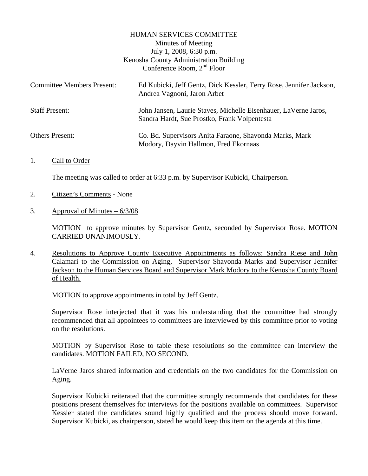## HUMAN SERVICES COMMITTEE

Minutes of Meeting July 1, 2008, 6:30 p.m. Kenosha County Administration Building Conference Room, 2nd Floor

| <b>Committee Members Present:</b> | Ed Kubicki, Jeff Gentz, Dick Kessler, Terry Rose, Jennifer Jackson,<br>Andrea Vagnoni, Jaron Arbet              |
|-----------------------------------|-----------------------------------------------------------------------------------------------------------------|
| <b>Staff Present:</b>             | John Jansen, Laurie Staves, Michelle Eisenhauer, LaVerne Jaros,<br>Sandra Hardt, Sue Prostko, Frank Volpentesta |
| <b>Others Present:</b>            | Co. Bd. Supervisors Anita Faraone, Shavonda Marks, Mark<br>Modory, Dayvin Hallmon, Fred Ekornaas                |

1. Call to Order

The meeting was called to order at 6:33 p.m. by Supervisor Kubicki, Chairperson.

- 2. Citizen's Comments None
- 3. Approval of Minutes  $-6/3/08$

MOTION to approve minutes by Supervisor Gentz, seconded by Supervisor Rose. MOTION CARRIED UNANIMOUSLY.

4. Resolutions to Approve County Executive Appointments as follows: Sandra Riese and John Calamari to the Commission on Aging, Supervisor Shavonda Marks and Supervisor Jennifer Jackson to the Human Services Board and Supervisor Mark Modory to the Kenosha County Board of Health.

MOTION to approve appointments in total by Jeff Gentz.

 Supervisor Rose interjected that it was his understanding that the committee had strongly recommended that all appointees to committees are interviewed by this committee prior to voting on the resolutions.

 MOTION by Supervisor Rose to table these resolutions so the committee can interview the candidates. MOTION FAILED, NO SECOND.

 LaVerne Jaros shared information and credentials on the two candidates for the Commission on Aging.

 Supervisor Kubicki reiterated that the committee strongly recommends that candidates for these positions present themselves for interviews for the positions available on committees. Supervisor Kessler stated the candidates sound highly qualified and the process should move forward. Supervisor Kubicki, as chairperson, stated he would keep this item on the agenda at this time.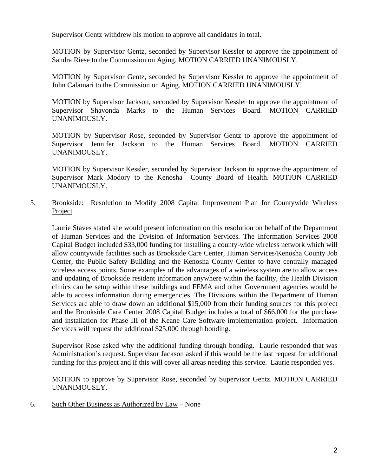Supervisor Gentz withdrew his motion to approve all candidates in total.

 MOTION by Supervisor Gentz, seconded by Supervisor Kessler to approve the appointment of Sandra Riese to the Commission on Aging. MOTION CARRIED UNANIMOUSLY.

 MOTION by Supervisor Gentz, seconded by Supervisor Kessler to approve the appointment of John Calamari to the Commission on Aging. MOTION CARRIED UNANIMOUSLY.

 MOTION by Supervisor Jackson, seconded by Supervisor Kessler to approve the appointment of Supervisor Shavonda Marks to the Human Services Board. MOTION CARRIED UNANIMOUSLY.

 MOTION by Supervisor Rose, seconded by Supervisor Gentz to approve the appointment of Supervisor Jennifer Jackson to the Human Services Board. MOTION CARRIED UNANIMOUSLY.

 MOTION by Supervisor Kessler, seconded by Supervisor Jackson to approve the appointment of Supervisor Mark Modory to the Kenosha County Board of Health. MOTION CARRIED UNANIMOUSLY.

5. Brookside: Resolution to Modify 2008 Capital Improvement Plan for Countywide Wireless Project

Laurie Staves stated she would present information on this resolution on behalf of the Department of Human Services and the Division of Information Services. The Information Services 2008 Capital Budget included \$33,000 funding for installing a county-wide wireless network which will allow countywide facilities such as Brookside Care Center, Human Services/Kenosha County Job Center, the Public Safety Building and the Kenosha County Center to have centrally managed wireless access points. Some examples of the advantages of a wireless system are to allow access and updating of Brookside resident information anywhere within the facility, the Health Division clinics can be setup within these buildings and FEMA and other Government agencies would be able to access information during emergencies. The Divisions within the Department of Human Services are able to draw down an additional \$15,000 from their funding sources for this project and the Brookside Care Center 2008 Capital Budget includes a total of \$66,000 for the purchase and installation for Phase III of the Keane Care Software implementation project. Information Services will request the additional \$25,000 through bonding.

Supervisor Rose asked why the additional funding through bonding. Laurie responded that was Administration's request. Supervisor Jackson asked if this would be the last request for additional funding for this project and if this will cover all areas needing this service. Laurie responded yes.

MOTION to approve by Supervisor Rose, seconded by Supervisor Gentz. MOTION CARRIED UNANIMOUSLY.

6. Such Other Business as Authorized by Law – None